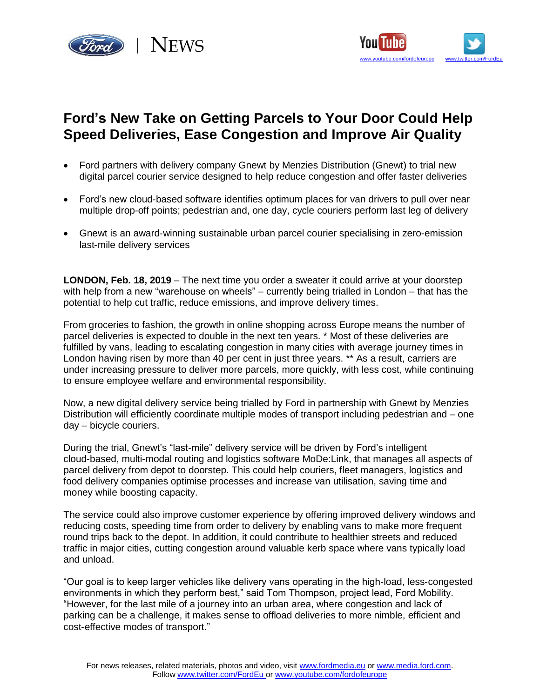



# **Ford's New Take on Getting Parcels to Your Door Could [Help](http://www.youtube.com/fordofeurope) Speed Deliveries, Ease Congestion and Improve Air Quality**

- Ford partners with delivery company Gnewt by Menzies Distribution (Gnewt) to trial new digital parcel courier service designed to help reduce congestion and offer faster deliveries
- Ford's new cloud-based software identifies optimum places for van drivers to pull over near multiple drop-off points; pedestrian and, one day, cycle couriers perform last leg of delivery
- Gnewt is an award‑winning sustainable urban parcel courier specialising in zero-emission last-mile delivery services

**LONDON, Feb. 18, 2019** – The next time you order a sweater it could arrive at your doorstep with help from a new "warehouse on wheels" – currently being trialled in London – that has the potential to help cut traffic, reduce emissions, and improve delivery times.

From groceries to fashion, the growth in online shopping across Europe means the number of parcel deliveries is expected to double in the next ten years. \* Most of these deliveries are fulfilled by vans, leading to escalating congestion in many cities with average journey times in London having risen by more than 40 per cent in just three years. \*\* As a result, carriers are under increasing pressure to deliver more parcels, more quickly, with less cost, while continuing to ensure employee welfare and environmental responsibility.

Now, a new digital delivery service being trialled by Ford in partnership with Gnewt by Menzies Distribution will efficiently coordinate multiple modes of transport including pedestrian and – one day – bicycle couriers.

During the trial, Gnewt's "last-mile" delivery service will be driven by Ford's intelligent cloud‑based, multi‑modal routing and logistics software MoDe:Link, that manages all aspects of parcel delivery from depot to doorstep. This could help couriers, fleet managers, logistics and food delivery companies optimise processes and increase van utilisation, saving time and money while boosting capacity.

The service could also improve customer experience by offering improved delivery windows and reducing costs, speeding time from order to delivery by enabling vans to make more frequent round trips back to the depot. In addition, it could contribute to healthier streets and reduced traffic in major cities, cutting congestion around valuable kerb space where vans typically load and unload.

"Our goal is to keep larger vehicles like delivery vans operating in the high‑load, less‑congested environments in which they perform best," said Tom Thompson, project lead, Ford Mobility. "However, for the last mile of a journey into an urban area, where congestion and lack of parking can be a challenge, it makes sense to offload deliveries to more nimble, efficient and cost-effective modes of transport."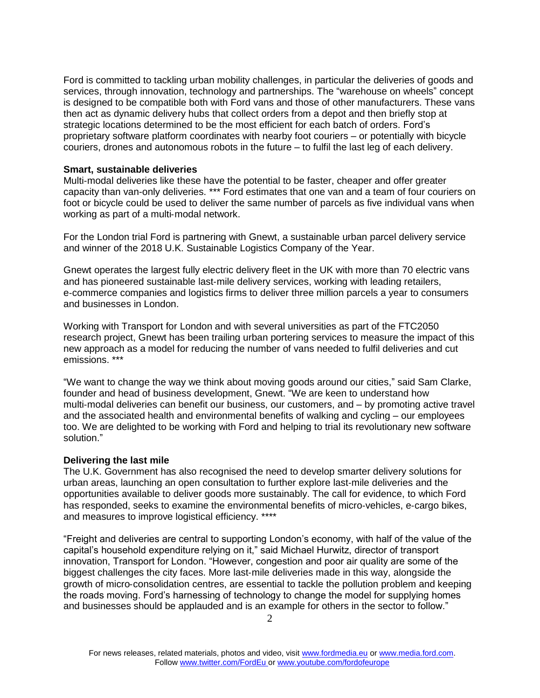Ford is committed to tackling urban mobility challenges, in particular the deliveries of goods and services, through innovation, technology and partnerships. The "warehouse on wheels" concept is designed to be compatible both with Ford vans and those of other manufacturers. These vans then act as dynamic delivery hubs that collect orders from a depot and then briefly stop at strategic locations determined to be the most efficient for each batch of orders. Ford's proprietary software platform coordinates with nearby foot couriers – or potentially with bicycle couriers, drones and autonomous robots in the future – to fulfil the last leg of each delivery.

## **Smart, sustainable deliveries**

Multi-modal deliveries like these have the potential to be faster, cheaper and offer greater capacity than van-only deliveries. \*\*\* Ford estimates that one van and a team of four couriers on foot or bicycle could be used to deliver the same number of parcels as five individual vans when working as part of a multi-modal network.

For the London trial Ford is partnering with Gnewt, a sustainable urban parcel delivery service and winner of the 2018 U.K. Sustainable Logistics Company of the Year.

Gnewt operates the largest fully electric delivery fleet in the UK with more than 70 electric vans and has pioneered sustainable last‑mile delivery services, working with leading retailers, e‑commerce companies and logistics firms to deliver three million parcels a year to consumers and businesses in London.

Working with Transport for London and with several universities as part of the FTC2050 research project, Gnewt has been trailing urban portering services to measure the impact of this new approach as a model for reducing the number of vans needed to fulfil deliveries and cut emissions. \*\*\*

"We want to change the way we think about moving goods around our cities," said Sam Clarke, founder and head of business development, Gnewt. "We are keen to understand how multi‑modal deliveries can benefit our business, our customers, and – by promoting active travel and the associated health and environmental benefits of walking and cycling – our employees too. We are delighted to be working with Ford and helping to trial its revolutionary new software solution."

## **Delivering the last mile**

The U.K. Government has also recognised the need to develop smarter delivery solutions for urban areas, launching an open consultation to further explore last-mile deliveries and the opportunities available to deliver goods more sustainably. The call for evidence, to which Ford has responded, seeks to examine the environmental benefits of micro-vehicles, e-cargo bikes, and measures to improve logistical efficiency. \*\*\*\*

"Freight and deliveries are central to supporting London's economy, with half of the value of the capital's household expenditure relying on it," said Michael Hurwitz, director of transport innovation, Transport for London. "However, congestion and poor air quality are some of the biggest challenges the city faces. More last‑mile deliveries made in this way, alongside the growth of micro‑consolidation centres, are essential to tackle the pollution problem and keeping the roads moving. Ford's harnessing of technology to change the model for supplying homes and businesses should be applauded and is an example for others in the sector to follow."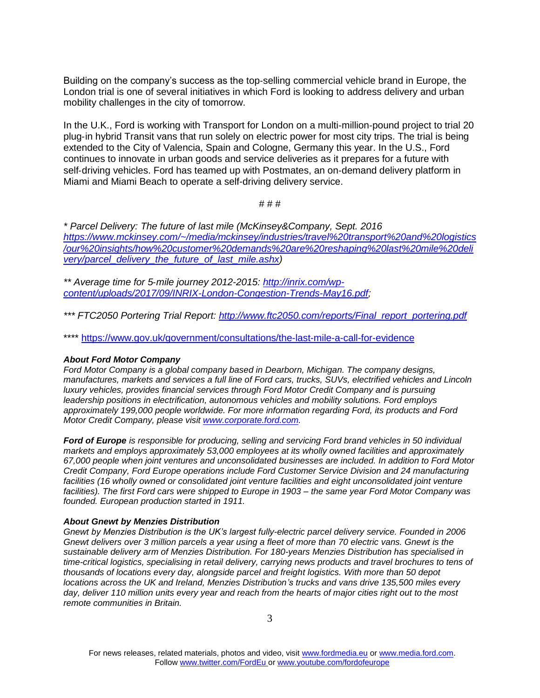Building on the company's success as the top-selling commercial vehicle brand in Europe, the London trial is one of several initiatives in which Ford is looking to address delivery and urban mobility challenges in the city of tomorrow.

In the U.K., Ford is working with Transport for London on a multi-million-pound project to trial 20 plug‑in hybrid Transit vans that run solely on electric power for most city trips. The trial is being extended to the City of Valencia, Spain and Cologne, Germany this year. In the U.S., Ford continues to innovate in urban goods and service deliveries as it prepares for a future with self-driving vehicles. Ford has teamed up with Postmates, an on-demand delivery platform in Miami and Miami Beach to operate a self-driving delivery service.

## # # #

*\* Parcel Delivery: The future of last mile (McKinsey&Company, Sept. 2016 [https://www.mckinsey.com/~/media/mckinsey/industries/travel%20transport%20and%20logistics](https://www.mckinsey.com/~/media/mckinsey/industries/travel%20transport%20and%20logistics/our%20insights/how%20customer%20demands%20are%20reshaping%20last%20mile%20delivery/parcel_delivery_the_future_of_last_mile.ashx) [/our%20insights/how%20customer%20demands%20are%20reshaping%20last%20mile%20deli](https://www.mckinsey.com/~/media/mckinsey/industries/travel%20transport%20and%20logistics/our%20insights/how%20customer%20demands%20are%20reshaping%20last%20mile%20delivery/parcel_delivery_the_future_of_last_mile.ashx) [very/parcel\\_delivery\\_the\\_future\\_of\\_last\\_mile.ashx\)](https://www.mckinsey.com/~/media/mckinsey/industries/travel%20transport%20and%20logistics/our%20insights/how%20customer%20demands%20are%20reshaping%20last%20mile%20delivery/parcel_delivery_the_future_of_last_mile.ashx)*

*\*\* Average time for 5*‑*mile journey 2012-2015: [http://inrix.com/wp](http://inrix.com/wp-content/uploads/2017/09/INRIX-London-Congestion-Trends-May16.pdf)[content/uploads/2017/09/INRIX-London-Congestion-Trends-May16.pdf;](http://inrix.com/wp-content/uploads/2017/09/INRIX-London-Congestion-Trends-May16.pdf)*

*\*\*\* FTC2050 Portering Trial Report: [http://www.ftc2050.com/reports/Final\\_report\\_portering.pdf](http://www.ftc2050.com/reports/Final_report_portering.pdf)*

\*\*\*\*<https://www.gov.uk/government/consultations/the-last-mile-a-call-for-evidence>

## *About Ford Motor Company*

*Ford Motor Company is a global company based in Dearborn, Michigan. The company designs, manufactures, markets and services a full line of Ford cars, trucks, SUVs, electrified vehicles and Lincoln luxury vehicles, provides financial services through Ford Motor Credit Company and is pursuing leadership positions in electrification, autonomous vehicles and mobility solutions. Ford employs approximately 199,000 people worldwide. For more information regarding Ford, its products and Ford Motor Credit Company, please visit [www.corporate.ford.com.](http://www.corporate.ford.com/)*

*Ford of Europe is responsible for producing, selling and servicing Ford brand vehicles in 50 individual markets and employs approximately 53,000 employees at its wholly owned facilities and approximately 67,000 people when joint ventures and unconsolidated businesses are included. In addition to Ford Motor Credit Company, Ford Europe operations include Ford Customer Service Division and 24 manufacturing*  facilities (16 wholly owned or consolidated joint venture facilities and eight unconsolidated joint venture *facilities). The first Ford cars were shipped to Europe in 1903 – the same year Ford Motor Company was founded. European production started in 1911.*

## *About Gnewt by Menzies Distribution*

*Gnewt by Menzies Distribution is the UK's largest fully-electric parcel delivery service. Founded in 2006 Gnewt delivers over 3 million parcels a year using a fleet of more than 70 electric vans. Gnewt is the sustainable delivery arm of Menzies Distribution. For 180-years Menzies Distribution has specialised in time-critical logistics, specialising in retail delivery, carrying news products and travel brochures to tens of thousands of locations every day, alongside parcel and freight logistics. With more than 50 depot locations across the UK and Ireland, Menzies Distribution's trucks and vans drive 135,500 miles every day, deliver 110 million units every year and reach from the hearts of major cities right out to the most remote communities in Britain.*